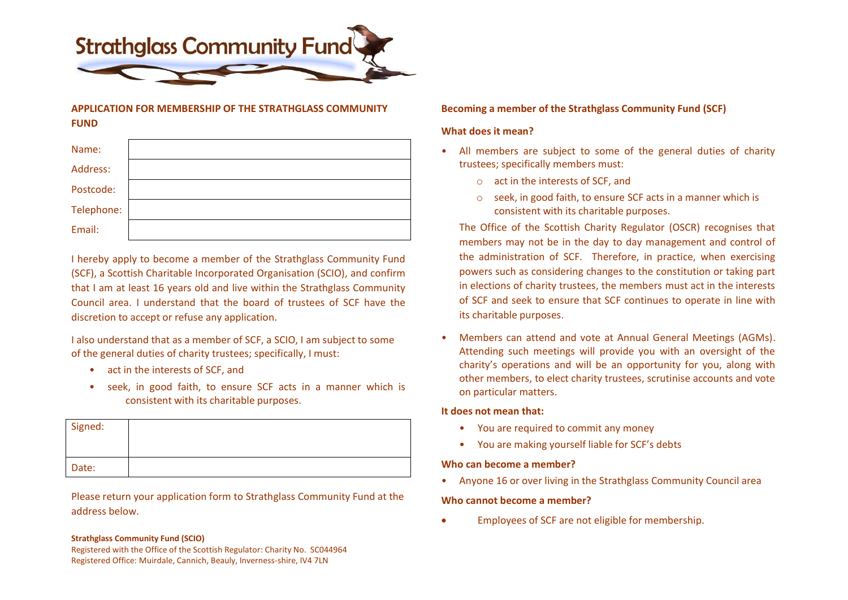

# **APPLICATION FOR MEMBERSHIP OF THE STRATHGLASS COMMUNITY FUND**

| Name:      |  |
|------------|--|
| Address:   |  |
| Postcode:  |  |
| Telephone: |  |
| Email:     |  |

I hereby apply to become a member of the Strathglass Community Fund (SCF), a Scottish Charitable Incorporated Organisation (SCIO), and confirm that I am at least 16 years old and live within the Strathglass Community Council area. I understand that the board of trustees of SCF have the discretion to accept or refuse any application.

I also understand that as a member of SCF, a SCIO, I am subject to some of the general duties of charity trustees; specifically, I must:

- act in the interests of SCF, and
- seek, in good faith, to ensure SCF acts in a manner which is consistent with its charitable purposes.

| Signed: |  |
|---------|--|
| Date:   |  |

Please return your application form to Strathglass Community Fund at the address below.

#### **Strathglass Community Fund (SCIO)**

Registered with the Office of the Scottish Regulator: Charity No. SC044964 Registered Office: Muirdale, Cannich, Beauly, Inverness-shire, IV4 7LN

# **Becoming a member of the Strathglass Community Fund (SCF)**

# **What does it mean?**

- All members are subject to some of the general duties of charity trustees; specifically members must:
	- o act in the interests of SCF, and
	- o seek, in good faith, to ensure SCF acts in a manner which is consistent with its charitable purposes.

The Office of the Scottish Charity Regulator (OSCR) recognises that members may not be in the day to day management and control of the administration of SCF. Therefore, in practice, when exercising powers such as considering changes to the constitution or taking part in elections of charity trustees, the members must act in the interests of SCF and seek to ensure that SCF continues to operate in line with its charitable purposes.

• Members can attend and vote at Annual General Meetings (AGMs). Attending such meetings will provide you with an oversight of the charity's operations and will be an opportunity for you, along with other members, to elect charity trustees, scrutinise accounts and vote on particular matters.

### **It does not mean that:**

- You are required to commit any money
- You are making yourself liable for SCF's debts

### **Who can become a member?**

• Anyone 16 or over living in the Strathglass Community Council area

### **Who cannot become a member?**

• Employees of SCF are not eligible for membership.